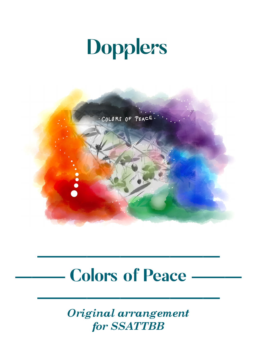## Dopplers



## **Colors of Peace**

**———————————**

**———————————**

*Original arrangement for SSATTBB*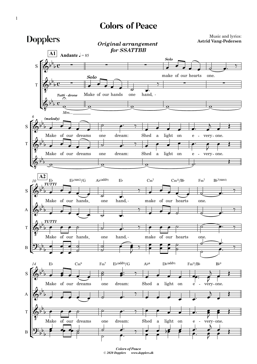## Colors of Peace



*Colors of Peace* © *2020 Dopplers www.dopplers.dk*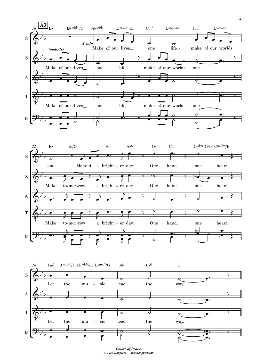

*Colors of Peace* © *2020 Dopplers www.dopplers.dk*